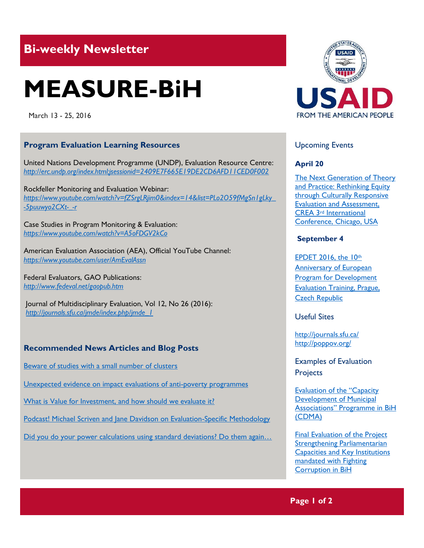# **Bi-weekly Newsletter**

# **MEASURE-BiH**

March 13 - 25, 2016

## **Program Evaluation Learning Resources**

United Nations Development Programme (UNDP), Evaluation Resource Centre: *<http://erc.undp.org/index.html;jsessionid=2409E7F665E19DE2CD6AFD11CED0F002>*

Rockfeller Monitoring and Evaluation Webinar: *[https://www.youtube.com/watch?v=fZSrgLRjim0&index=14&list=PLo2O59fMgSn1gLky\\_](https://www.youtube.com/watch?v=fZSrgLRjim0&index=14&list=PLo2O59fMgSn1gLky_-5puuwyo2CXt-_-r) [-5puuwyo2CXt-\\_-r](https://www.youtube.com/watch?v=fZSrgLRjim0&index=14&list=PLo2O59fMgSn1gLky_-5puuwyo2CXt-_-r)*

Case Studies in Program Monitoring & Evaluation: *<https://www.youtube.com/watch?v=A5oFDGV2kCo>*

American Evaluation Association (AEA), Official YouTube Channel: *<https://www.youtube.com/user/AmEvalAssn>*

Federal Evaluators, GAO Publications: *<http://www.fedeval.net/gaopub.htm>*

Journal of Multidisciplinary Evaluation, Vol 12, No 26 (2016): *[http://journals.sfu.ca/jmde/index.php/jmde\\_1](http://journals.sfu.ca/jmde/index.php/jmde_1)*

## **Recommended News Articles and Blog Posts**

[Beware of studies with a small number of clusters](http://blogs.worldbank.org/impactevaluations/beware-of-studies-with-a-small-number-of-clusters)

[Unexpected evidence on impact evaluations of anti-poverty programmes](http://blogs.3ieimpact.org/unexpected-evidence-on-impact-evaluations-of-anti-poverty-programmes-they-need-to-tell-us-how-the-poor-are-defined-before-they-can-tell-us-anything-else/)

[What is Value for Investment, and how should we evaluate it?](http://genuineevaluation.com/what-is-value-for-investment-and-how-should-we-evaluate-it-guest-post-from-julian-king/)

[Podcast! Michael Scriven and Jane Davidson on Evaluation-Specific Methodology](http://genuineevaluation.com/podcast-esm/)

[Did you do your power calculations using standard](http://blogs.worldbank.org/impactevaluations/did-you-do-your-power-calculations-using-standard-deviations-do-them-again) deviations? Do them again...



# Upcoming Events

#### **April 20**

[The Next Generation of Theory](http://mande.co.uk/conferences/?event_id1=18)  [and Practice: Rethinking Equity](http://mande.co.uk/conferences/?event_id1=18)  [through Culturally Responsive](http://mande.co.uk/conferences/?event_id1=18)  [Evaluation and Assessment,](http://mande.co.uk/conferences/?event_id1=18)  CREA 3rd [International](http://mande.co.uk/conferences/?event_id1=18)  [Conference, Chicago, USA](http://mande.co.uk/conferences/?event_id1=18)

#### **September 4**

[EPDET 2016, the 10](http://www.europeanevaluation.org/sites/default/files/events/Invitation%20EPDET%202016.pdf)th [Anniversary of European](http://www.europeanevaluation.org/sites/default/files/events/Invitation%20EPDET%202016.pdf)  **Program for Development** [Evaluation Training, Prague,](http://www.europeanevaluation.org/sites/default/files/events/Invitation%20EPDET%202016.pdf)  [Czech Republic](http://www.europeanevaluation.org/sites/default/files/events/Invitation%20EPDET%202016.pdf)

#### Useful Sites

<http://journals.sfu.ca/> <http://poppov.org/>

Examples of Evaluation **Projects** 

[Evaluation of the "Capacity](http://www.sida.se/contentassets/752f16b3e5a24c7b854c014690d50c23/evaluation-of-the-8220capacity-development-of-municipal-associations8221-programme-in-bosnia-and-herzegovina-cdma---fin_3729.pdf)  **Development of Municipal** [Associations" Programme in BiH](http://www.sida.se/contentassets/752f16b3e5a24c7b854c014690d50c23/evaluation-of-the-8220capacity-development-of-municipal-associations8221-programme-in-bosnia-and-herzegovina-cdma---fin_3729.pdf)  [\(CDMA\)](http://www.sida.se/contentassets/752f16b3e5a24c7b854c014690d50c23/evaluation-of-the-8220capacity-development-of-municipal-associations8221-programme-in-bosnia-and-herzegovina-cdma---fin_3729.pdf)

[Final Evaluation of the Project](http://erc.undp.org/evaluation/evaluations/detail/7902)  [Strengthening Parliamentarian](http://erc.undp.org/evaluation/evaluations/detail/7902)  [Capacities and Key Institutions](http://erc.undp.org/evaluation/evaluations/detail/7902)  [mandated with Fighting](http://erc.undp.org/evaluation/evaluations/detail/7902)  [Corruption in BiH](http://erc.undp.org/evaluation/evaluations/detail/7902)